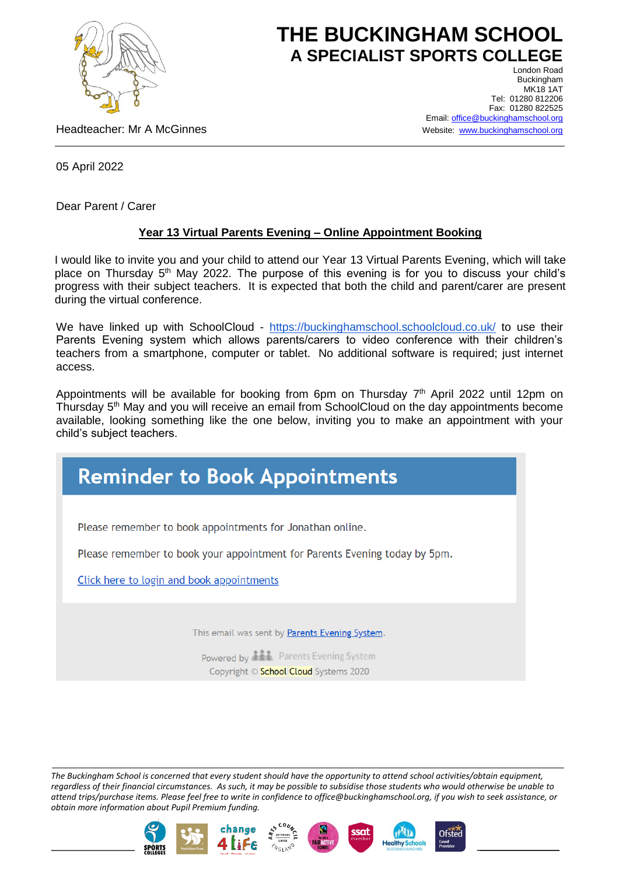

## **THE BUCKINGHAM SCHOOL A SPECIALIST SPORTS COLLEGE** London Road

Headteacher: Mr A McGinnes

Buckingham **MK18 1AT** Tel: 01280 812206 Fax: 01280 822525 Email[: office@buckinghamschool.org](mailto:office@buckinghamschool.org) Website: [www.buckinghamschool.org](http://www.buckinghamschool.org/)

05 April 2022

Dear Parent / Carer

## **Year 13 Virtual Parents Evening – Online Appointment Booking**

I would like to invite you and your child to attend our Year 13 Virtual Parents Evening, which will take place on Thursday 5<sup>th</sup> May 2022. The purpose of this evening is for you to discuss your child's progress with their subject teachers. It is expected that both the child and parent/carer are present during the virtual conference.

We have linked up with SchoolCloud - <https://buckinghamschool.schoolcloud.co.uk/> to use their Parents Evening system which allows parents/carers to video conference with their children's teachers from a smartphone, computer or tablet. No additional software is required; just internet access.

Appointments will be available for booking from 6pm on Thursday 7<sup>th</sup> April 2022 until 12pm on Thursday 5th May and you will receive an email from SchoolCloud on the day appointments become available, looking something like the one below, inviting you to make an appointment with your child's subject teachers.

## **Reminder to Book Appointments** Please remember to book appointments for Jonathan online. Please remember to book your appointment for Parents Evening today by 5pm. Click here to login and book appointments This email was sent by Parents Evening System. Powered by **AA** Parents Evening System Copyright © School Cloud Systems 2020

*The Buckingham School is concerned that every student should have the opportunity to attend school activities/obtain equipment, regardless of their financial circumstances. As such, it may be possible to subsidise those students who would otherwise be unable to attend trips/purchase items. Please feel free to write in confidence to office@buckinghamschool.org, if you wish to seek assistance, or obtain more information about Pupil Premium funding.*